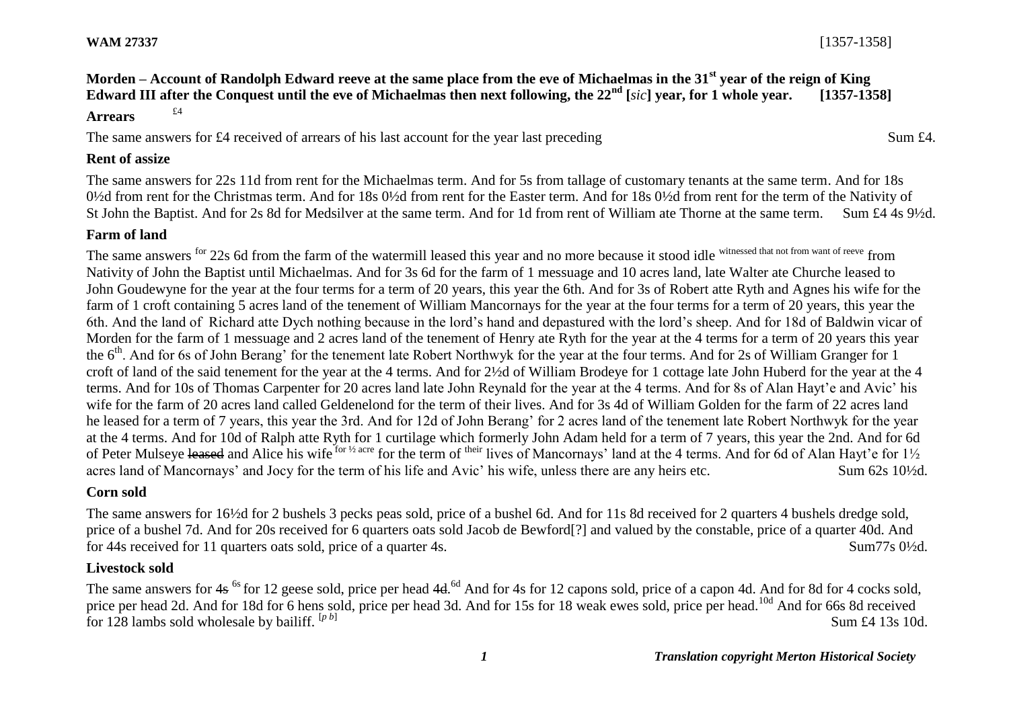**WAM 27337** [1357-1358]

# **Morden – Account of Randolph Edward reeve at the same place from the eve of Michaelmas in the 31st year of the reign of King Edward III after the Conquest until the eve of Michaelmas then next following, the 22nd [***sic***] year, for 1 whole year. [1357-1358] Arrears** £4

## The same answers for £4 received of arrears of his last account for the year last preceding Sum £4.

### **Rent of assize**

The same answers for 22s 11d from rent for the Michaelmas term. And for 5s from tallage of customary tenants at the same term. And for 18s 0½d from rent for the Christmas term. And for 18s 0½d from rent for the Easter term. And for 18s 0½d from rent for the term of the Nativity of St John the Baptist. And for 2s 8d for Medsilver at the same term. And for 1d from rent of William ate Thorne at the same term. Sum £4 4s 9½d.

### **Farm of land**

The same answers <sup>for</sup> 22s 6d from the farm of the watermill leased this year and no more because it stood idle witnessed that not from want of reeve from Nativity of John the Baptist until Michaelmas. And for 3s 6d for the farm of 1 messuage and 10 acres land, late Walter ate Churche leased to John Goudewyne for the year at the four terms for a term of 20 years, this year the 6th. And for 3s of Robert atte Ryth and Agnes his wife for the farm of 1 croft containing 5 acres land of the tenement of William Mancornays for the year at the four terms for a term of 20 years, this year the 6th. And the land of Richard atte Dych nothing because in the lord's hand and depastured with the lord's sheep. And for 18d of Baldwin vicar of Morden for the farm of 1 messuage and 2 acres land of the tenement of Henry ate Ryth for the year at the 4 terms for a term of 20 years this year the 6<sup>th</sup>. And for 6s of John Berang' for the tenement late Robert Northwyk for the year at the four terms. And for 2s of William Granger for 1 croft of land of the said tenement for the year at the 4 terms. And for 2½d of William Brodeye for 1 cottage late John Huberd for the year at the 4 terms. And for 10s of Thomas Carpenter for 20 acres land late John Reynald for the year at the 4 terms. And for 8s of Alan Hayt'e and Avic' his wife for the farm of 20 acres land called Geldenelond for the term of their lives. And for 3s 4d of William Golden for the farm of 22 acres land he leased for a term of 7 years, this year the 3rd. And for 12d of John Berang' for 2 acres land of the tenement late Robert Northwyk for the year at the 4 terms. And for 10d of Ralph atte Ryth for 1 curtilage which formerly John Adam held for a term of 7 years, this year the 2nd. And for 6d of Peter Mulseve leased and Alice his wife for <sup>1/2</sup> acre for the term of <sup>their</sup> lives of Mancornays' land at the 4 terms. And for 6d of Alan Hayt'e for 1<sup>1/2</sup> acres land of Mancornays' and Jocy for the term of his life and Avic' his wife, unless there are any heirs etc. Sum 62s 10½d.

# **Corn sold**

The same answers for 16½d for 2 bushels 3 pecks peas sold, price of a bushel 6d. And for 11s 8d received for 2 quarters 4 bushels dredge sold, price of a bushel 7d. And for 20s received for 6 quarters oats sold Jacob de Bewford[?] and valued by the constable, price of a quarter 40d. And for 44s received for 11 quarters oats sold, price of a quarter 4s. Sum 77s 0<sup>1</sup>/<sub>2d</sub>.

### **Livestock sold**

The same answers for 4s <sup>6s</sup> for 12 geese sold, price per head 4d.<sup>6d</sup> And for 4s for 12 capons sold, price of a capon 4d. And for 8d for 4 cocks sold, price per head 2d. And for 18d for 6 hens sold, price per head 3d. And for 15s for 18 weak ewes sold, price per head.<sup>10d</sup> And for 66s 8d received for 128 lambs sold wholesale by bailiff. [*p b*] Sum £4 13s 10d.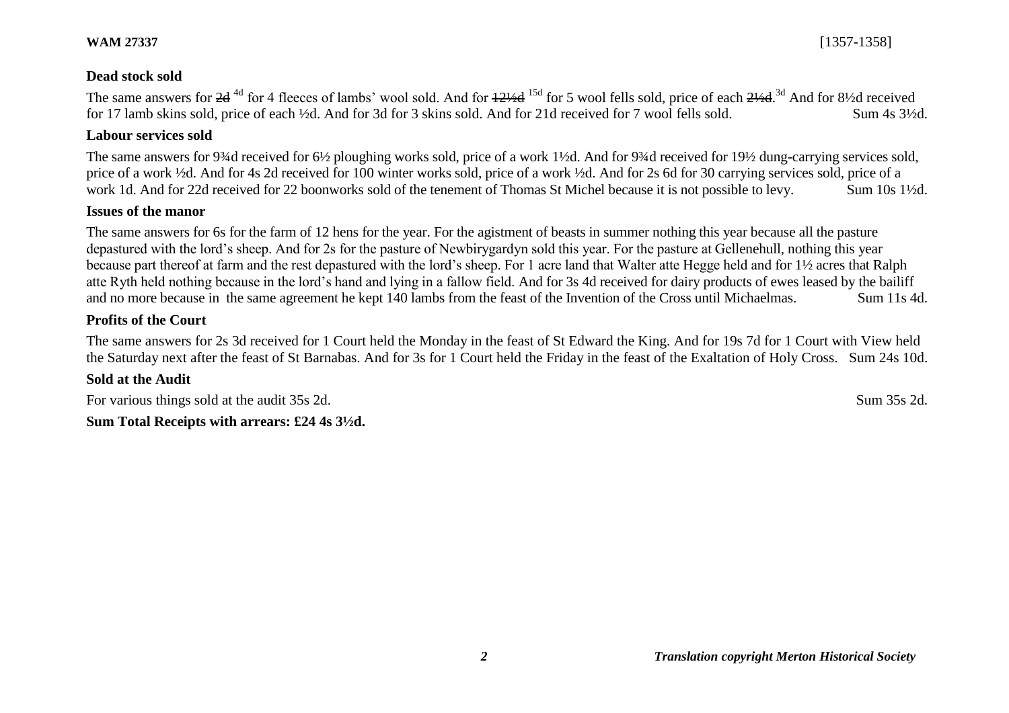### **Dead stock sold**

The same answers for 2d<sup>4d</sup> for 4 fleeces of lambs' wool sold. And for  $12\frac{1}{4}$  for 5 wool fells sold, price of each  $2\frac{1}{4}$ .<sup>3d</sup> And for 8½d received for 17 lamb skins sold, price of each ½d. And for 3d for 3 skins sold. And for 21d received for 7 wool fells sold. Sum 4s 3½d.

#### **Labour services sold**

The same answers for 9¼d received for 6½ ploughing works sold, price of a work 1½d. And for 9¼d received for 19½ dung-carrying services sold, price of a work ½d. And for 4s 2d received for 100 winter works sold, price of a work ½d. And for 2s 6d for 30 carrying services sold, price of a work 1d. And for 22d received for 22 boonworks sold of the tenement of Thomas St Michel because it is not possible to levy. Sum 10s 1<sup>1</sup>/2d.

# **Issues of the manor**

The same answers for 6s for the farm of 12 hens for the year. For the agistment of beasts in summer nothing this year because all the pasture depastured with the lord's sheep. And for 2s for the pasture of Newbirygardyn sold this year. For the pasture at Gellenehull, nothing this year because part thereof at farm and the rest depastured with the lord's sheep. For 1 acre land that Walter atte Hegge held and for 1½ acres that Ralph atte Ryth held nothing because in the lord's hand and lying in a fallow field. And for 3s 4d received for dairy products of ewes leased by the bailiff and no more because in the same agreement he kept 140 lambs from the feast of the Invention of the Cross until Michaelmas. Sum 11s 4d.

### **Profits of the Court**

The same answers for 2s 3d received for 1 Court held the Monday in the feast of St Edward the King. And for 19s 7d for 1 Court with View held the Saturday next after the feast of St Barnabas. And for 3s for 1 Court held the Friday in the feast of the Exaltation of Holy Cross. Sum 24s 10d.

### **Sold at the Audit**

For various things sold at the audit 35s 2d. Sum 35s 2d. Sum 35s 2d.

**Sum Total Receipts with arrears: £24 4s 3½d.**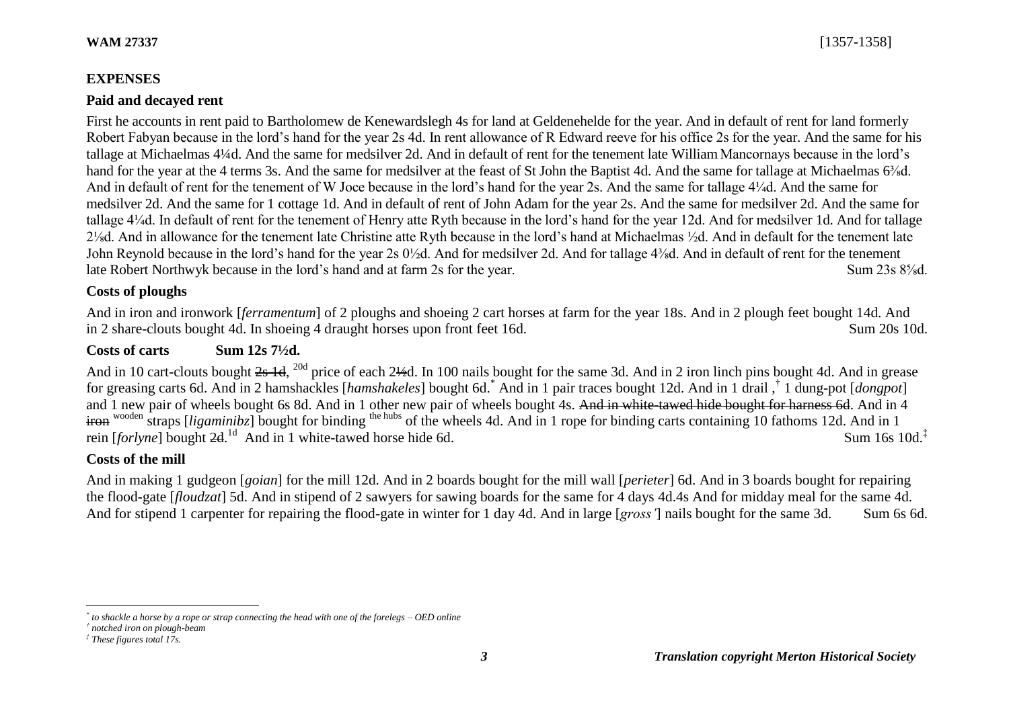# **EXPENSES**

# **Paid and decayed rent**

First he accounts in rent paid to Bartholomew de Kenewardslegh 4s for land at Geldenehelde for the year. And in default of rent for land formerly Robert Fabyan because in the lord's hand for the year 2s 4d. In rent allowance of R Edward reeve for his office 2s for the year. And the same for his tallage at Michaelmas 4¼d. And the same for medsilver 2d. And in default of rent for the tenement late William Mancornays because in the lord's hand for the year at the 4 terms 3s. And the same for medsilver at the feast of St John the Baptist 4d. And the same for tallage at Michaelmas 6<sup>3</sup>/<sub>8</sub>d. And in default of rent for the tenement of W Joce because in the lord's hand for the year 2s. And the same for tallage 4¼d. And the same for medsilver 2d. And the same for 1 cottage 1d. And in default of rent of John Adam for the year 2s. And the same for medsilver 2d. And the same for tallage 4¼d. In default of rent for the tenement of Henry atte Ryth because in the lord's hand for the year 12d. And for medsilver 1d. And for tallage 2⅛d. And in allowance for the tenement late Christine atte Ryth because in the lord's hand at Michaelmas ½d. And in default for the tenement late John Reynold because in the lord's hand for the year 2s 0½d. And for medsilver 2d. And for tallage 4⅜d. And in default of rent for the tenement late Robert Northwyk because in the lord's hand and at farm 2s for the year. Sum 23s 8⅝d.

# **Costs of ploughs**

And in iron and ironwork [*ferramentum*] of 2 ploughs and shoeing 2 cart horses at farm for the year 18s. And in 2 plough feet bought 14d. And in 2 share-clouts bought 4d. In shoeing 4 draught horses upon front feet 16d. Sum 20s 10d.

# Costs of carts Sum 12s 7<sup>1</sup>/<sub>2</sub>d.

And in 10 cart-clouts bought 2s 1d, <sup>20d</sup> price of each 2½d. In 100 nails bought for the same 3d. And in 2 iron linch pins bought 4d. And in grease for greasing carts 6d. And in 2 hamshackles [*hamshakeles*] bought 6d.\* And in 1 pair traces bought 12d. And in 1 drail ,† 1 dung-pot [*dongpot*] and 1 new pair of wheels bought 6s 8d. And in 1 other new pair of wheels bought 4s. And in white-tawed hide bought for harness 6d. And in 4 iron wooden straps *[ligaminibz]* bought for binding the hubs of the wheels 4d. And in 1 rope for binding carts containing 10 fathoms 12d. And in 1 rein [*forlyne*] bought 2d.<sup>1d</sup> And in 1 white-tawed horse hide 6d. Sum 16s 10d.<sup>‡</sup>

# **Costs of the mill**

And in making 1 gudgeon [*goian*] for the mill 12d. And in 2 boards bought for the mill wall [*perieter*] 6d. And in 3 boards bought for repairing the flood-gate [*floudzat*] 5d. And in stipend of 2 sawyers for sawing boards for the same for 4 days 4d.4s And for midday meal for the same 4d. And for stipend 1 carpenter for repairing the flood-gate in winter for 1 day 4d. And in large [*gross'*] nails bought for the same 3d. Sum 6s 6d.

 $\overline{a}$ 

*<sup>\*</sup> to shackle a horse by a rope or strap connecting the head with one of the forelegs – OED online*

*<sup>†</sup> notched iron on plough-beam*

*<sup>‡</sup> These figures total 17s.*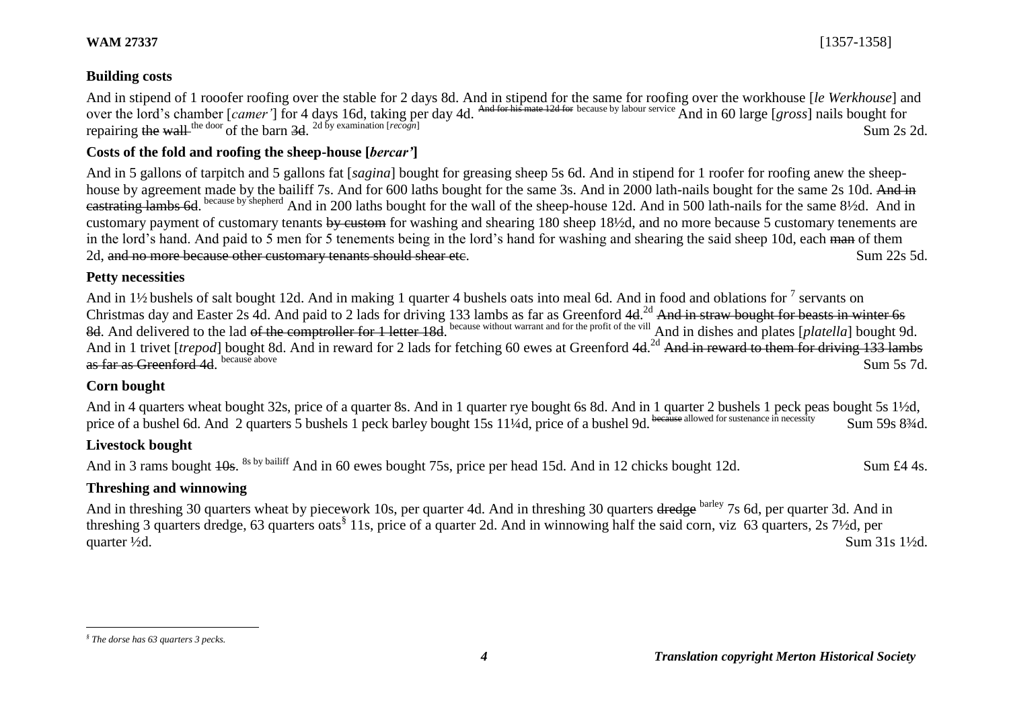# **Building costs**

And in stipend of 1 rooofer roofing over the stable for 2 days 8d. And in stipend for the same for roofing over the workhouse [*le Werkhouse*] and over the lord's chamber [*camer*'] for 4 days 16d, taking per day 4d. And for his mate 12d for because by labour service And in 60 large [*gross*] nails bought for repairing the wall <sup>the door</sup> of the barn 3d. <sup>2d by examination [*recogn*] Sum 2s 2d.</sup>

# **Costs of the fold and roofing the sheep-house [***bercar'***]**

And in 5 gallons of tarpitch and 5 gallons fat [*sagina*] bought for greasing sheep 5s 6d. And in stipend for 1 roofer for roofing anew the sheephouse by agreement made by the bailiff 7s. And for 600 laths bought for the same 3s. And in 2000 lath-nails bought for the same 2s 10d. And in eastrating lambs 6d. because by shepherd And in 200 laths bought for the wall of the sheep-house 12d. And in 500 lath-nails for the same 8½d. And in customary payment of customary tenants by custom for washing and shearing 180 sheep 18½d, and no more because 5 customary tenements are in the lord's hand. And paid to 5 men for 5 tenements being in the lord's hand for washing and shearing the said sheep 10d, each man of them 2d, and no more because other customary tenants should shear etc. Sum 22s 5d.

#### **Petty necessities**

And in 1½ bushels of salt bought 12d. And in making 1 quarter 4 bushels oats into meal 6d. And in food and oblations for  $^7$  servants on Christmas day and Easter 2s 4d. And paid to 2 lads for driving 133 lambs as far as Greenford 4d.<sup>2d</sup> And in straw bought for beasts in winter 6s 8d. And delivered to the lad <del>of the comptroller for 1 letter 18d</del>. because without warrant and for the profit of the vill And in dishes and plates [*platella*] bought 9d. And in 1 trivet [*trepod*] bought 8d. And in reward for 2 lads for fetching 60 ewes at Greenford 4d.<sup>2d</sup> And in reward to them for driving 133 lambs as far as Greenford 4d<sup>because</sup> above because above Sum 5s 7d.

## **Corn bought**

And in 4 quarters wheat bought 32s, price of a quarter 8s. And in 1 quarter rye bought 6s 8d. And in 1 quarter 2 bushels 1 peck peas bought 5s 1½d, price of a bushel 6d. And 2 quarters 5 bushels 1 peck barley bought 15s 11¼d, price of a bushel 9d. because allowed for sustenance in necessity Sum 59s 83⁄4d.

# **Livestock bought**

And in 3 rams bought 10s. <sup>8s by bailiff</sup> And in 60 ewes bought 75s, price per head 15d. And in 12 chicks bought 12d. Sum £4 4s.

## **Threshing and winnowing**

And in threshing 30 quarters wheat by piecework 10s, per quarter 4d. And in threshing 30 quarters dredge barley 7s 6d, per quarter 3d. And in threshing 3 quarters dredge, 63 quarters oats<sup>§</sup> 11s, price of a quarter 2d. And in winnowing half the said corn, viz 63 quarters, 2s 7½d, per quarter  $\frac{1}{2}d$ . Sum 31s 1 $\frac{1}{2}d$ .

 $\overline{a}$ 

*<sup>§</sup> The dorse has 63 quarters 3 pecks.*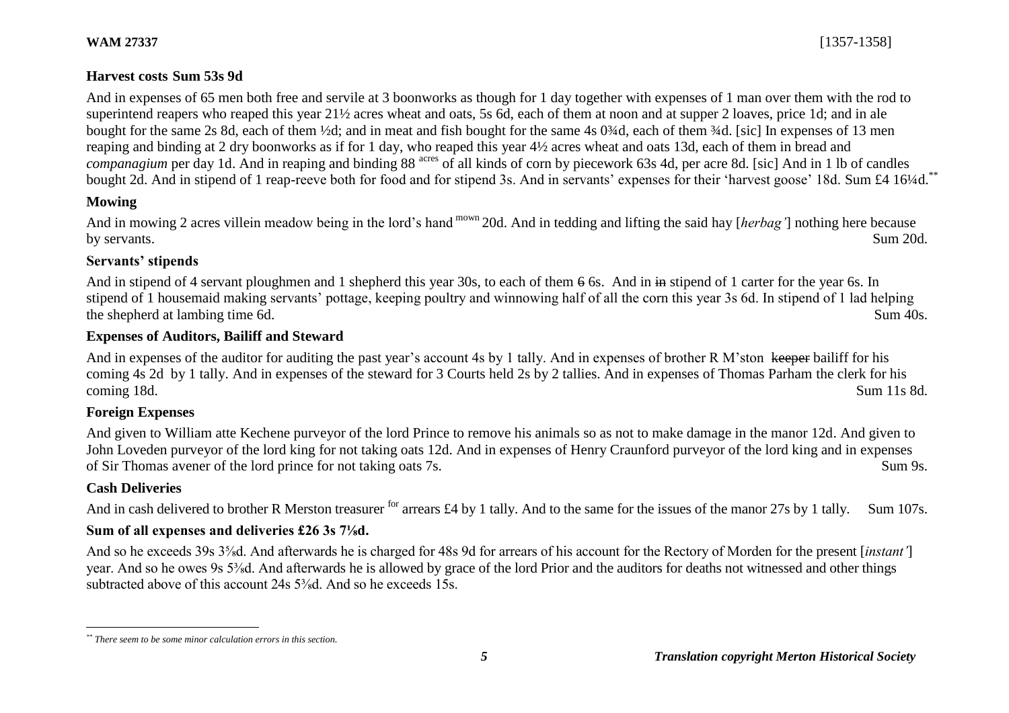# **Harvest costs Sum 53s 9d**

And in expenses of 65 men both free and servile at 3 boonworks as though for 1 day together with expenses of 1 man over them with the rod to superintend reapers who reaped this year 21½ acres wheat and oats, 5s 6d, each of them at noon and at supper 2 loaves, price 1d; and in ale bought for the same 2s 8d, each of them ½d; and in meat and fish bought for the same 4s 0¾d, each of them ¾d. [sic] In expenses of 13 men reaping and binding at 2 dry boonworks as if for 1 day, who reaped this year 4½ acres wheat and oats 13d, each of them in bread and *companagium* per day 1d. And in reaping and binding 88<sup> acres</sup> of all kinds of corn by piecework 63s 4d, per acre 8d. [sic] And in 1 lb of candles bought 2d. And in stipend of 1 reap-reeve both for food and for stipend 3s. And in servants' expenses for their 'harvest goose' 18d. Sum £4 16¼d.<sup>\*</sup>

# **Mowing**

And in mowing 2 acres villein meadow being in the lord's hand mown 20d. And in tedding and lifting the said hay [*herbag'*] nothing here because by servants. Sum 20d.

# **Servants' stipends**

And in stipend of 4 servant ploughmen and 1 shepherd this year 30s, to each of them 6 6s. And in in stipend of 1 carter for the year 6s. In stipend of 1 housemaid making servants' pottage, keeping poultry and winnowing half of all the corn this year 3s 6d. In stipend of 1 lad helping the shepherd at lambing time 6d. Sum 40s.

# **Expenses of Auditors, Bailiff and Steward**

And in expenses of the auditor for auditing the past year's account 4s by 1 tally. And in expenses of brother R M'ston keeper bailiff for his coming 4s 2d by 1 tally. And in expenses of the steward for 3 Courts held 2s by 2 tallies. And in expenses of Thomas Parham the clerk for his coming 18d. Sum 11s 8d.

# **Foreign Expenses**

And given to William atte Kechene purveyor of the lord Prince to remove his animals so as not to make damage in the manor 12d. And given to John Loveden purveyor of the lord king for not taking oats 12d. And in expenses of Henry Craunford purveyor of the lord king and in expenses of Sir Thomas avener of the lord prince for not taking oats 7s. Sum 9s.

# **Cash Deliveries**

And in cash delivered to brother R Merston treasurer <sup>for</sup> arrears £4 by 1 tally. And to the same for the issues of the manor 27s by 1 tally. Sum 107s.

# **Sum of all expenses and deliveries £26 3s 7⅛d.**

And so he exceeds 39s 3⅝d. And afterwards he is charged for 48s 9d for arrears of his account for the Rectory of Morden for the present [*instant'*] year. And so he owes 9s 5⅜d. And afterwards he is allowed by grace of the lord Prior and the auditors for deaths not witnessed and other things subtracted above of this account 24s 5<sup>3</sup>/<sub>8</sub>d And so he exceeds 15s.

 $\overline{a}$ *\*\* There seem to be some minor calculation errors in this section.*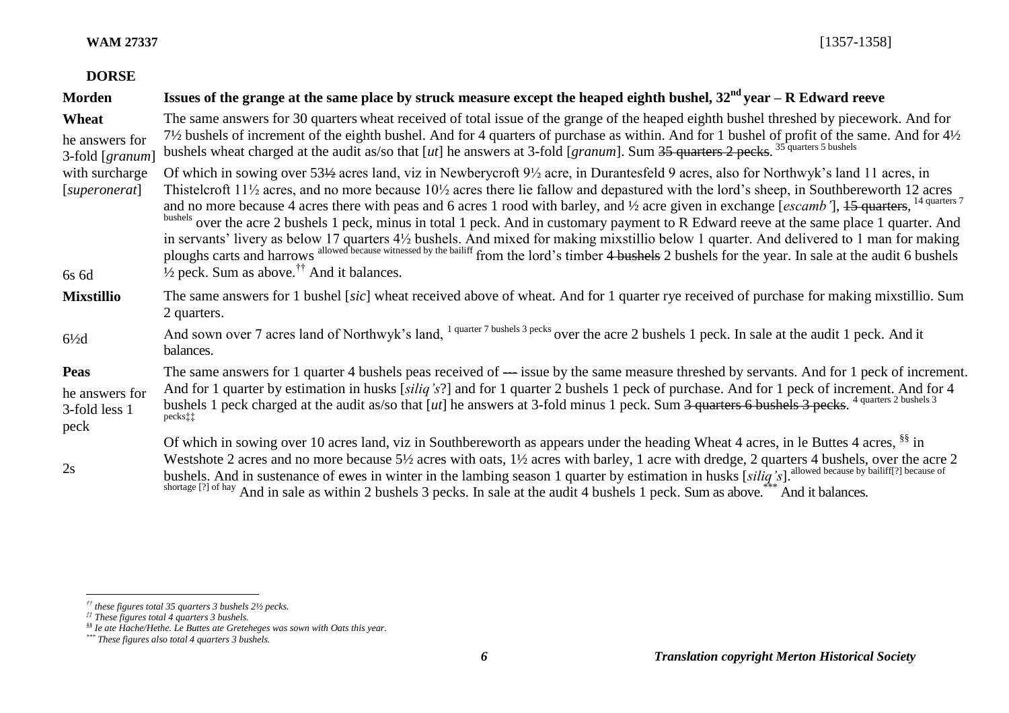# **DORSE**

| Morden                                                 | Issues of the grange at the same place by struck measure except the heaped eighth bushel, $32^{nd}$ year – R Edward reeve                                                                                                                                                                                                                                                                                                                                                                                                                                                                                                                                                                                                                                                                                                                                                                                                                                                                                   |
|--------------------------------------------------------|-------------------------------------------------------------------------------------------------------------------------------------------------------------------------------------------------------------------------------------------------------------------------------------------------------------------------------------------------------------------------------------------------------------------------------------------------------------------------------------------------------------------------------------------------------------------------------------------------------------------------------------------------------------------------------------------------------------------------------------------------------------------------------------------------------------------------------------------------------------------------------------------------------------------------------------------------------------------------------------------------------------|
| Wheat<br>he answers for<br>3-fold [granum]             | The same answers for 30 quarters wheat received of total issue of the grange of the heaped eighth bushel threshed by piecework. And for<br>71/2 bushels of increment of the eighth bushel. And for 4 quarters of purchase as within. And for 1 bushel of profit of the same. And for 41/2<br>bushels wheat charged at the audit as/so that [ut] he answers at 3-fold [granum]. Sum 35 quarters 2 pecks. <sup>35 quarters 5 bushels</sup>                                                                                                                                                                                                                                                                                                                                                                                                                                                                                                                                                                    |
| with surcharge<br>[superonerat]<br>6s 6d               | Of which in sowing over 53½ acres land, viz in Newberycroft 9½ acre, in Durantesfeld 9 acres, also for Northwyk's land 11 acres, in<br>Thistelcroft $11\frac{1}{2}$ acres, and no more because $10\frac{1}{2}$ acres there lie fallow and depastured with the lord's sheep, in Southbereworth 12 acres<br>and no more because 4 acres there with peas and 6 acres 1 rood with barley, and $\frac{1}{2}$ acre given in exchange [escamb '], 15 quarters, <sup>14 quarters 7</sup><br>bushels over the acre 2 bushels 1 peck, minus in total 1 peck. And in customary payment to R Edward reeve at the same place 1 quarter. And<br>in servants' livery as below 17 quarters 4½ bushels. And mixed for making mixstillio below 1 quarter. And delivered to 1 man for making<br>ploughs carts and harrows allowed because witnessed by the bailiff from the lord's timber 4 bushels 2 bushels for the year. In sale at the audit 6 bushels<br>$\frac{1}{2}$ peck. Sum as above. <sup>††</sup> And it balances. |
| <b>Mixstillio</b>                                      | The same answers for 1 bushel [sic] wheat received above of wheat. And for 1 quarter rye received of purchase for making mixstillio. Sum<br>2 quarters.                                                                                                                                                                                                                                                                                                                                                                                                                                                                                                                                                                                                                                                                                                                                                                                                                                                     |
| $6\frac{1}{2}d$                                        | And sown over 7 acres land of Northwyk's land, <sup>1 quarter 7 bushels 3 pecks</sup> over the acre 2 bushels 1 peck. In sale at the audit 1 peck. And it<br>balances.                                                                                                                                                                                                                                                                                                                                                                                                                                                                                                                                                                                                                                                                                                                                                                                                                                      |
| <b>Peas</b><br>he answers for<br>3-fold less 1<br>peck | The same answers for 1 quarter 4 bushels peas received of — issue by the same measure threshed by servants. And for 1 peck of increment.<br>And for 1 quarter by estimation in husks [siliq's?] and for 1 quarter 2 bushels 1 peck of purchase. And for 1 peck of increment. And for 4<br>bushels 1 peck charged at the audit as/so that [ut] he answers at 3-fold minus 1 peck. Sum 3 quarters 6 bushels 3 pecks. <sup>4 quarters 2 bushels 3</sup><br>pecks <sup>††</sup>                                                                                                                                                                                                                                                                                                                                                                                                                                                                                                                                 |
| 2s                                                     | Of which in sowing over 10 acres land, viz in Southbereworth as appears under the heading Wheat 4 acres, in le Buttes 4 acres, $\frac{88}{3}$ in<br>Westshote 2 acres and no more because 51/2 acres with oats, 11/2 acres with barley, 1 acre with dredge, 2 quarters 4 bushels, over the acre 2<br>bushels. And in sustenance of ewes in winter in the lambing season 1 quarter by estimation in husks [siliq's]. allowed because by bailiff[?] because of<br>shortage [?] of hay And in sale as within 2 bushels 3 pecks. In sale at the audit 4 bushels 1 peck. Sum as above. <sup>***</sup> And it balances.                                                                                                                                                                                                                                                                                                                                                                                           |

*<sup>††</sup> these figures total 35 quarters 3 bushels 2½ pecks.*

*<sup>‡‡</sup> These figures total 4 quarters 3 bushels.*

*<sup>§§</sup> Ie ate Hache/Hethe. Le Buttes ate Greteheges was sown with Oats this year.*

*<sup>\*\*\*</sup> These figures also total 4 quarters 3 bushels.*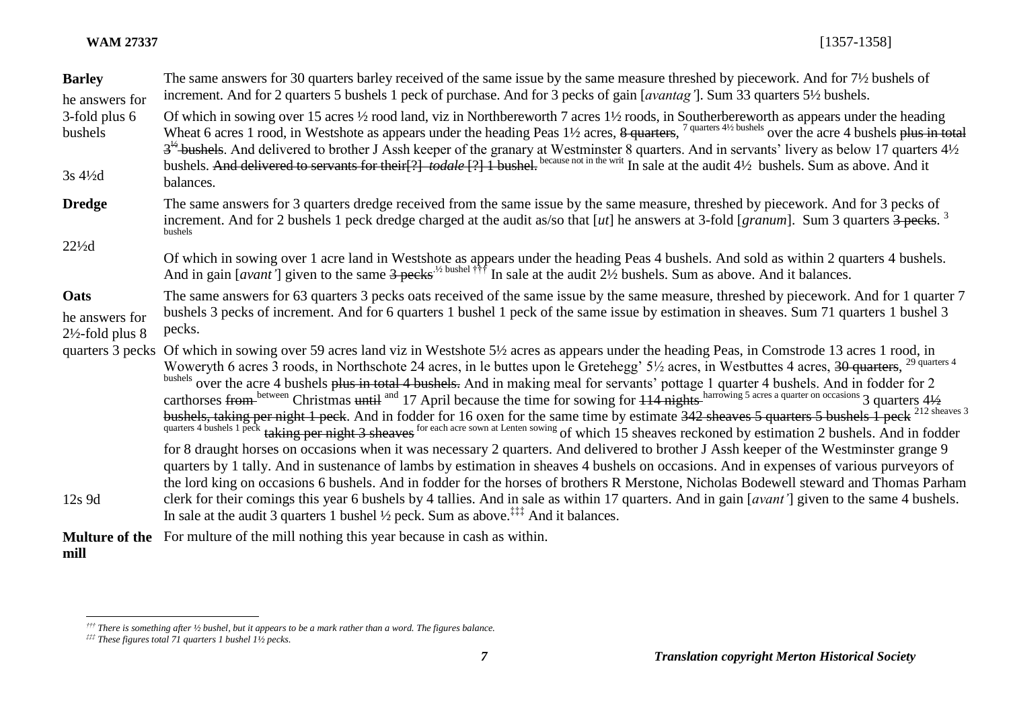| <b>Barley</b><br>he answers for                       | The same answers for 30 quarters barley received of the same issue by the same measure threshed by piecework. And for 7 <sup>1</sup> / <sub>2</sub> bushels of<br>increment. And for 2 quarters 5 bushels 1 peck of purchase. And for 3 pecks of gain [avantag]. Sum 33 quarters 5 <sup>1</sup> /2 bushels.                                                                                                                                                                                                                                                                                                                                                                                                                                                                                                                                                              |
|-------------------------------------------------------|--------------------------------------------------------------------------------------------------------------------------------------------------------------------------------------------------------------------------------------------------------------------------------------------------------------------------------------------------------------------------------------------------------------------------------------------------------------------------------------------------------------------------------------------------------------------------------------------------------------------------------------------------------------------------------------------------------------------------------------------------------------------------------------------------------------------------------------------------------------------------|
| 3-fold plus 6<br>bushels                              | Of which in sowing over 15 acres 1/2 rood land, viz in Northbereworth 7 acres 11/2 roods, in Southerbereworth as appears under the heading<br>Wheat 6 acres 1 rood, in Westshote as appears under the heading Peas 11/2 acres, 8 quarters, 7 quarters 41/2 bushels over the acre 4 bushels plus in total<br>$3^{1/2}$ -bushels. And delivered to brother J Assh keeper of the granary at Westminster 8 quarters. And in servants' livery as below 17 quarters $4\frac{1}{2}$<br>bushels. And delivered to servants for their[?] todale [?] I bushel. because not in the writ In sale at the audit 4½ bushels. Sum as above. And it                                                                                                                                                                                                                                       |
| 3s 41/2d                                              | balances.                                                                                                                                                                                                                                                                                                                                                                                                                                                                                                                                                                                                                                                                                                                                                                                                                                                                |
| <b>Dredge</b>                                         | The same answers for 3 quarters dredge received from the same issue by the same measure, threshed by piecework. And for 3 pecks of<br>increment. And for 2 bushels 1 peck dredge charged at the audit as/so that $[ut]$ he answers at 3-fold [granum]. Sum 3 quarters $3$ pecks. <sup>3</sup><br>bushels                                                                                                                                                                                                                                                                                                                                                                                                                                                                                                                                                                 |
| $22\frac{1}{2}$ d                                     | Of which in sowing over 1 acre land in Westshote as appears under the heading Peas 4 bushels. And sold as within 2 quarters 4 bushels.<br>And in gain [avant'] given to the same $3$ pecks <sup>1/2 bushel †††</sup> In sale at the audit                                                                                                                                                                                                                                                                                                                                                                                                                                                                                                                                                                                                                                |
| Oats<br>he answers for<br>$2\frac{1}{2}$ -fold plus 8 | The same answers for 63 quarters 3 pecks oats received of the same issue by the same measure, threshed by piecework. And for 1 quarter 7<br>bushels 3 pecks of increment. And for 6 quarters 1 bushel 1 peck of the same issue by estimation in sheaves. Sum 71 quarters 1 bushel 3<br>pecks.                                                                                                                                                                                                                                                                                                                                                                                                                                                                                                                                                                            |
| quarters 3 pecks                                      | Of which in sowing over 59 acres land viz in Westshote 5½ acres as appears under the heading Peas, in Comstrode 13 acres 1 rood, in<br>Woweryth 6 acres 3 roods, in Northschote 24 acres, in le buttes upon le Gretehegg' 5½ acres, in Westbuttes 4 acres, 30 quarters, <sup>29 quarters 4</sup><br>bushels over the acre 4 bushels plus in total 4 bushels. And in making meal for servants' pottage 1 quarter 4 bushels. And in fodder for 2<br>carthorses from between Christmas until and 17 April because the time for sowing for 114 nights harrowing 5 acres a quarter on occasions 3 quarters 41/2<br>bushels, taking per night 1 peck. And in fodder for 16 oxen for the same time by estimate 342 sheaves 5 quarters 5 bushels 1 peck <sup>212 sheaves 3</sup> quarters 4 bushels 1 peck <sup>212 sheaves 3</sup> quarters 4 bushels 1 peck <sup>212 she</sup> |
| $12s$ 9d                                              | for 8 draught horses on occasions when it was necessary 2 quarters. And delivered to brother J Assh keeper of the Westminster grange 9<br>quarters by 1 tally. And in sustenance of lambs by estimation in sheaves 4 bushels on occasions. And in expenses of various purveyors of<br>the lord king on occasions 6 bushels. And in fodder for the horses of brothers R Merstone, Nicholas Bodewell steward and Thomas Parham<br>clerk for their comings this year 6 bushels by 4 tallies. And in sale as within 17 quarters. And in gain [avant'] given to the same 4 bushels.<br>In sale at the audit 3 quarters 1 bushel $\frac{1}{2}$ peck. Sum as above. <sup><math>\ddagger</math>*</sup> And it balances.                                                                                                                                                          |
|                                                       | <b>Multure of the</b> For multure of the mill nothing this year because in cash as within.                                                                                                                                                                                                                                                                                                                                                                                                                                                                                                                                                                                                                                                                                                                                                                               |

**mill**

*<sup>†††</sup> There is something after ½ bushel, but it appears to be a mark rather than a word. The figures balance.*

*<sup>‡‡‡</sup> These figures total 71 quarters 1 bushel 1½ pecks.*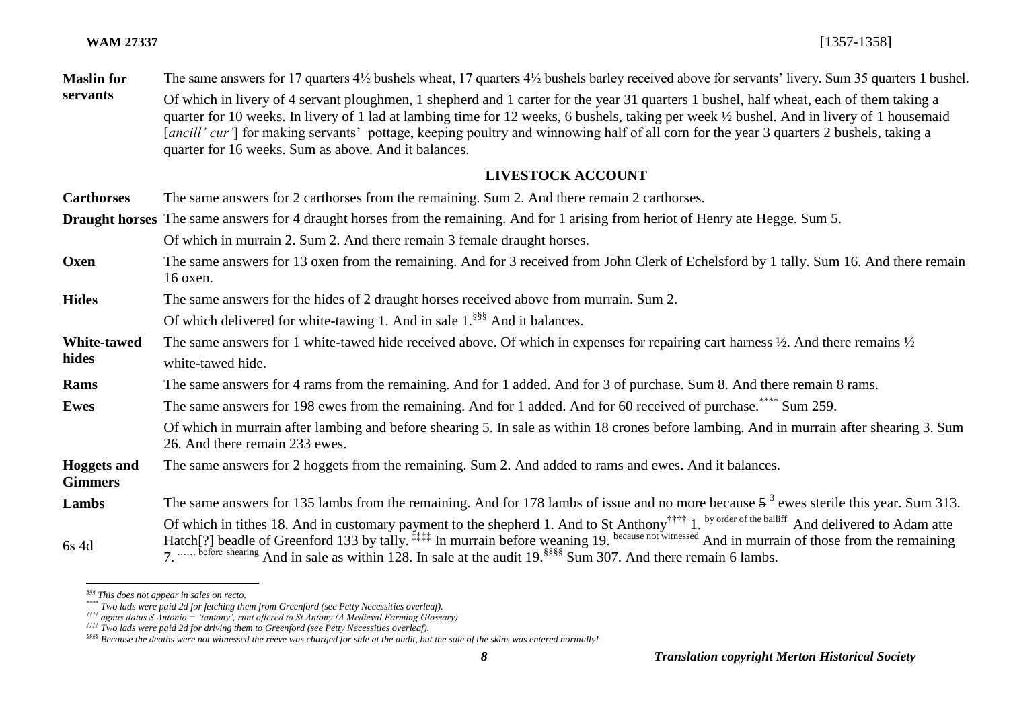**Maslin for servants** The same answers for 17 quarters 4½ bushels wheat, 17 quarters 4½ bushels barley received above for servants' livery. Sum 35 quarters 1 bushel. Of which in livery of 4 servant ploughmen, 1 shepherd and 1 carter for the year 31 quarters 1 bushel, half wheat, each of them taking a quarter for 10 weeks. In livery of 1 lad at lambing time for 12 weeks, 6 bushels, taking per week ½ bushel. And in livery of 1 housemaid [*ancill' cur'*] for making servants' pottage, keeping poultry and winnowing half of all corn for the year 3 quarters 2 bushels, taking a quarter for 16 weeks. Sum as above. And it balances.

# **LIVESTOCK ACCOUNT**

**Carthorses** The same answers for 2 carthorses from the remaining. Sum 2. And there remain 2 carthorses.

**Draught horses** The same answers for 4 draught horses from the remaining. And for 1 arising from heriot of Henry ate Hegge. Sum 5.

Of which in murrain 2. Sum 2. And there remain 3 female draught horses.

- **Oxen** The same answers for 13 oxen from the remaining. And for 3 received from John Clerk of Echelsford by 1 tally. Sum 16. And there remain 16 oxen.
- **Hides** The same answers for the hides of 2 draught horses received above from murrain. Sum 2. Of which delivered for white-tawing 1. And in sale 1.<sup>§§§</sup> And it balances.

**White-tawed** 

**hides** The same answers for 1 white-tawed hide received above. Of which in expenses for repairing cart harness ½. And there remains ½ white-tawed hide.

**Rams** The same answers for 4 rams from the remaining. And for 1 added. And for 3 of purchase. Sum 8. And there remain 8 rams.

**Ewes** The same answers for 198 ewes from the remaining. And for 1 added. And for 60 received of purchase.<sup>\*\*\*\*</sup> Sum 259.

Of which in murrain after lambing and before shearing 5. In sale as within 18 crones before lambing. And in murrain after shearing 3. Sum 26. And there remain 233 ewes.

**Hoggets and**  The same answers for 2 hoggets from the remaining. Sum 2. And added to rams and ewes. And it balances.

**Gimmers**

 $\overline{a}$ 

**Lambs** 6s 4d The same answers for 135 lambs from the remaining. And for 178 lambs of issue and no more because  $5^3$  ewes sterile this year. Sum 313. Of which in tithes 18. And in customary payment to the shepherd 1. And to St Anthony<sup>††††</sup> 1. by order of the bailiff And delivered to Adam atte Hatch<sup>[?]</sup> beadle of Greenford 133 by tally. <sup>‡‡‡‡</sup> In murrain before weaning 19. because not witnessed And in murrain of those from the remaining 7. …… before shearing And in sale as within 128. In sale at the audit 19.<sup>§§§§§</sup> Sum 307. And there remain 6 lambs.

*<sup>§§§</sup> This does not appear in sales on recto.*

*<sup>\*\*\*\*</sup> Two lads were paid 2d for fetching them from Greenford (see Petty Necessities overleaf).*

*<sup>††††</sup> agnus datus S Antonio = 'tantony', runt offered to St Antony (A Medieval Farming Glossary)*

*<sup>‡‡‡‡</sup> Two lads were paid 2d for driving them to Greenford (see Petty Necessities overleaf).*

*<sup>§§§§</sup> Because the deaths were not witnessed the reeve was charged for sale at the audit, but the sale of the skins was entered normally!*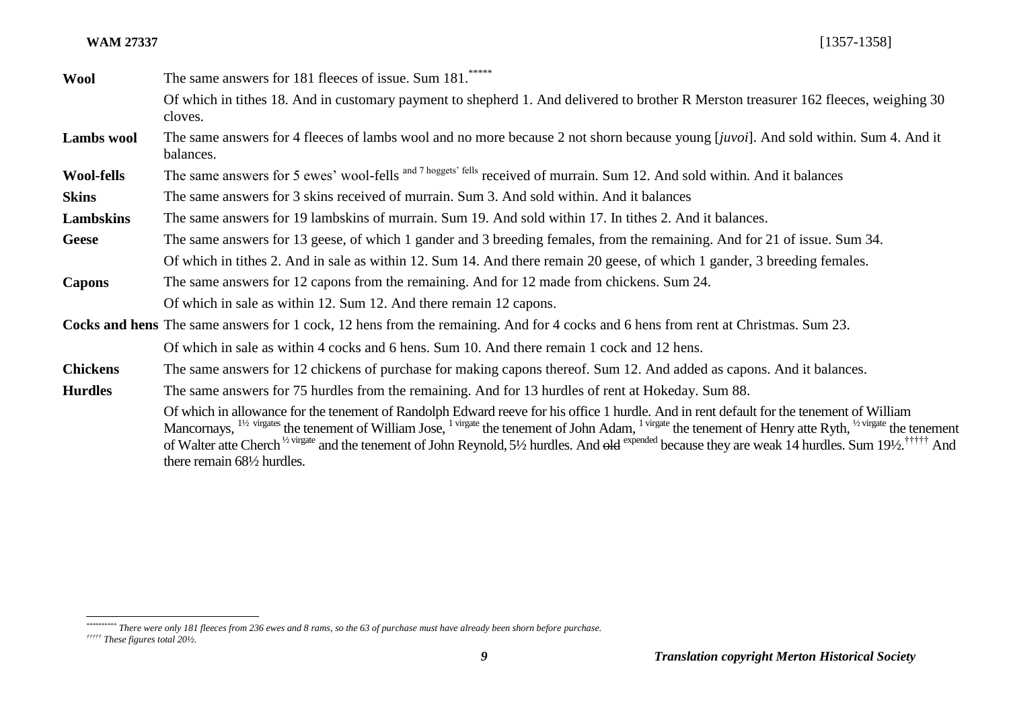**Wool** The same answers for 181 fleeces of issue. Sum 181.\*\*\*\*\* Of which in tithes 18. And in customary payment to shepherd 1. And delivered to brother R Merston treasurer 162 fleeces, weighing 30 cloves.

**Lambs wool** The same answers for 4 fleeces of lambs wool and no more because 2 not shorn because young [*juvoi*]. And sold within. Sum 4. And it balances.

Wool-fells The same answers for 5 ewes' wool-fells and 7 hoggets' fells received of murrain. Sum 12. And sold within. And it balances

**Skins** The same answers for 3 skins received of murrain. Sum 3. And sold within. And it balances

**Lambskins** The same answers for 19 lambskins of murrain. Sum 19. And sold within 17. In tithes 2. And it balances.

- **Geese** The same answers for 13 geese, of which 1 gander and 3 breeding females, from the remaining. And for 21 of issue. Sum 34. Of which in tithes 2. And in sale as within 12. Sum 14. And there remain 20 geese, of which 1 gander, 3 breeding females.
- **Capons** The same answers for 12 capons from the remaining. And for 12 made from chickens. Sum 24. Of which in sale as within 12. Sum 12. And there remain 12 capons.

**Cocks and hens** The same answers for 1 cock, 12 hens from the remaining. And for 4 cocks and 6 hens from rent at Christmas. Sum 23. Of which in sale as within 4 cocks and 6 hens. Sum 10. And there remain 1 cock and 12 hens.

**Chickens** The same answers for 12 chickens of purchase for making capons thereof. Sum 12. And added as capons. And it balances.

**Hurdles** The same answers for 75 hurdles from the remaining. And for 13 hurdles of rent at Hokeday. Sum 88.

Of which in allowance for the tenement of Randolph Edward reeve for his office 1 hurdle. And in rent default for the tenement of William Mancornays,  $^{1/2}$  virgates the tenement of William Jose,  $^{1}$  virgate the tenement of John Adam,  $^{1}$  virgate the tenement of Henry atte Ryth,  $^{1/2}$  virgate the tenement of Walter atte Cherch <sup>1/2 virgate</sup> and the tenement of John Reynold, 5<sup>1</sup>/2 hurdles. And old expended because they are weak 14 hurdles. Sum 19<sup>1</sup>/2.<sup>††††††</sup> And there remain 68½ hurdles.

*<sup>\*\*\*\*\*\*\*\*\*\*</sup> There were only 181 fleeces from 236 ewes and 8 rams, so the 63 of purchase must have already been shorn before purchase.*

*<sup>†††††</sup> These figures total 20½.*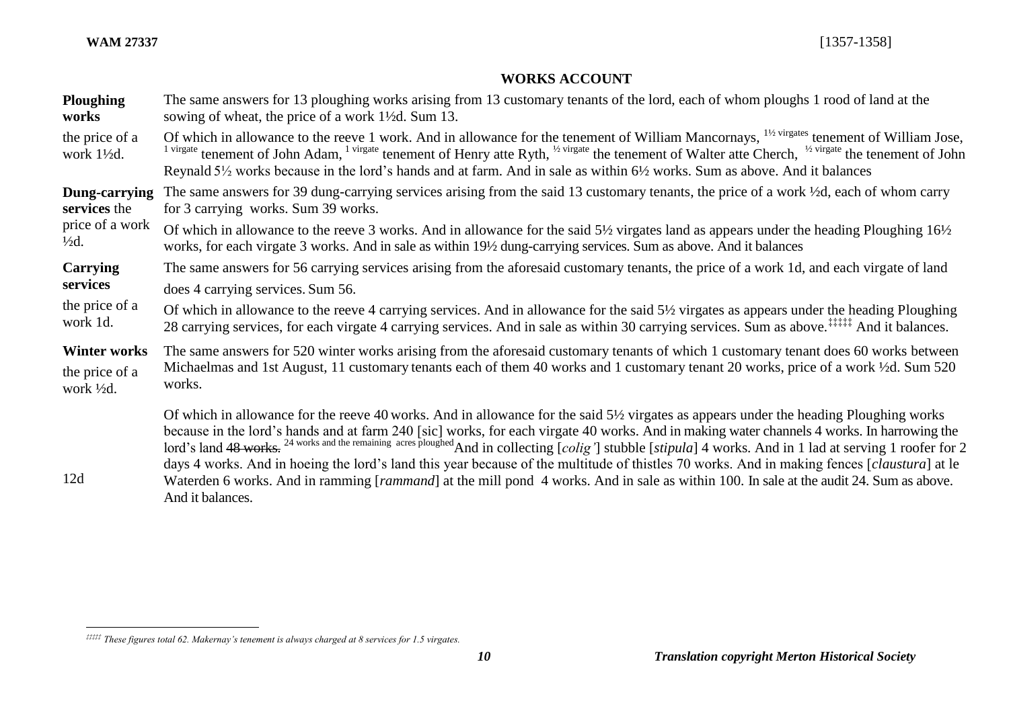$\overline{a}$ 

# **WORKS ACCOUNT**

| <b>Ploughing</b>            | The same answers for 13 ploughing works arising from 13 customary tenants of the lord, each of whom ploughs 1 rood of land at the                                                                                                                                                                                                                                                                                                                                                                                                                                                                                                                                                                              |
|-----------------------------|----------------------------------------------------------------------------------------------------------------------------------------------------------------------------------------------------------------------------------------------------------------------------------------------------------------------------------------------------------------------------------------------------------------------------------------------------------------------------------------------------------------------------------------------------------------------------------------------------------------------------------------------------------------------------------------------------------------|
| works                       | sowing of wheat, the price of a work 1 <sup>1</sup> / <sub>2</sub> d. Sum 13.                                                                                                                                                                                                                                                                                                                                                                                                                                                                                                                                                                                                                                  |
| the price of a<br>work 1½d. | Of which in allowance to the reeve 1 work. And in allowance for the tenement of William Mancornays, <sup>11/2 virgates</sup> tenement of William Jose,<br><sup>1 virgate</sup> tenement of John Adam, <sup>1 virgate</sup> tenement of Henry atte Ryth, <sup>1/2</sup> virgate the tenement of Walter atte Cherch, <sup>1/2</sup> virgate the tenement of John<br>Reynald 5 <sup>1/2</sup> works because in the lord's hands and at farm. And in sale as within 6 <sup>1</sup> /2 works. Sum as above. And it balances                                                                                                                                                                                         |
| Dung-carrying               | The same answers for 39 dung-carrying services arising from the said 13 customary tenants, the price of a work 1/2d, each of whom carry                                                                                                                                                                                                                                                                                                                                                                                                                                                                                                                                                                        |
| services the                | for 3 carrying works. Sum 39 works.                                                                                                                                                                                                                                                                                                                                                                                                                                                                                                                                                                                                                                                                            |
| price of a work             | Of which in allowance to the reeve 3 works. And in allowance for the said $5\frac{1}{2}$ virgates land as appears under the heading Ploughing $16\frac{1}{2}$                                                                                                                                                                                                                                                                                                                                                                                                                                                                                                                                                  |
| $\frac{1}{2}d$ .            | works, for each virgate 3 works. And in sale as within 19½ dung-carrying services. Sum as above. And it balances                                                                                                                                                                                                                                                                                                                                                                                                                                                                                                                                                                                               |
| Carrying                    | The same answers for 56 carrying services arising from the aforesaid customary tenants, the price of a work 1d, and each virgate of land                                                                                                                                                                                                                                                                                                                                                                                                                                                                                                                                                                       |
| services                    | does 4 carrying services. Sum 56.                                                                                                                                                                                                                                                                                                                                                                                                                                                                                                                                                                                                                                                                              |
| the price of a              | Of which in allowance to the reeve 4 carrying services. And in allowance for the said 5½ virgates as appears under the heading Ploughing                                                                                                                                                                                                                                                                                                                                                                                                                                                                                                                                                                       |
| work 1d.                    | 28 carrying services, for each virgate 4 carrying services. And in sale as within 30 carrying services. Sum as above. <sup>‡‡‡‡‡‡</sup> And it balances.                                                                                                                                                                                                                                                                                                                                                                                                                                                                                                                                                       |
| <b>Winter works</b>         | The same answers for 520 winter works arising from the aforesaid customary tenants of which 1 customary tenant does 60 works between                                                                                                                                                                                                                                                                                                                                                                                                                                                                                                                                                                           |
| the price of a              | Michaelmas and 1st August, 11 customary tenants each of them 40 works and 1 customary tenant 20 works, price of a work 1/2d. Sum 520                                                                                                                                                                                                                                                                                                                                                                                                                                                                                                                                                                           |
| work $\frac{1}{2}d$ .       | works.                                                                                                                                                                                                                                                                                                                                                                                                                                                                                                                                                                                                                                                                                                         |
| 12d                         | Of which in allowance for the reeve 40 works. And in allowance for the said 5½ virgates as appears under the heading Ploughing works<br>because in the lord's hands and at farm 240 [sic] works, for each virgate 40 works. And in making water channels 4 works. In harrowing the lord's land 48 works. <sup>24 works and the remaining acres ploughed</sup> And in collecting<br>days 4 works. And in hoeing the lord's land this year because of the multitude of thistles 70 works. And in making fences [ <i>claustura</i> ] at le<br>Waterden 6 works. And in ramming [ <i>rammand</i> ] at the mill pond 4 works. And in sale as within 100. In sale at the audit 24. Sum as above.<br>And it balances. |

*<sup>‡‡‡‡‡</sup> These figures total 62. Makernay's tenement is always charged at 8 services for 1.5 virgates.*